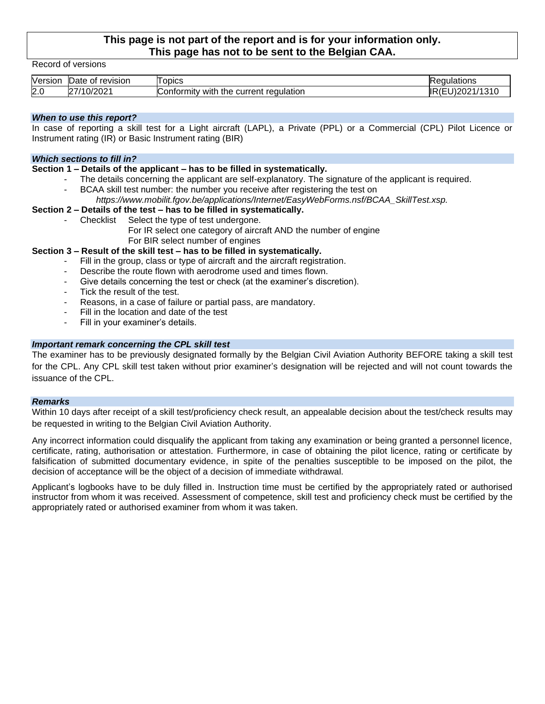# **This page is not part of the report and is for your information only. This page has not to be sent to the Belgian CAA.**

Record of versions

| Version | revision<br>Οt<br>Date                                     | ODICS                                                              | ulations                      |
|---------|------------------------------------------------------------|--------------------------------------------------------------------|-------------------------------|
| 2.0     | 1200c<br>$\sim$<br>7 I A<br>$\overline{\phantom{a}}$<br>◡▵ | regulation<br>onformit <sup>,</sup><br>rent<br>curr<br>with<br>the | 1310<br>0.200<br>- - -<br>. . |

### *When to use this report?*

In case of reporting a skill test for a Light aircraft (LAPL), a Private (PPL) or a Commercial (CPL) Pilot Licence or Instrument rating (IR) or Basic Instrument rating (BIR)

#### *Which sections to fill in?*

#### **Section 1 – Details of the applicant – has to be filled in systematically.**

- The details concerning the applicant are self-explanatory. The signature of the applicant is required.
- BCAA skill test number: the number you receive after registering the test on *https://www.mobilit.fgov.be/applications/Internet/EasyWebForms.nsf/BCAA\_SkillTest.xsp.*

#### **Section 2 – Details of the test – has to be filled in systematically.**

- Checklist Select the type of test undergone.
	- For IR select one category of aircraft AND the number of engine For BIR select number of engines

# **Section 3 – Result of the skill test – has to be filled in systematically.**

- Fill in the group, class or type of aircraft and the aircraft registration.
- Describe the route flown with aerodrome used and times flown.
- Give details concerning the test or check (at the examiner's discretion).
- Tick the result of the test.
- Reasons, in a case of failure or partial pass, are mandatory.
- Fill in the location and date of the test
- Fill in your examiner's details.

# *Important remark concerning the CPL skill test*

The examiner has to be previously designated formally by the Belgian Civil Aviation Authority BEFORE taking a skill test for the CPL. Any CPL skill test taken without prior examiner's designation will be rejected and will not count towards the issuance of the CPL.

#### *Remarks*

Within 10 days after receipt of a skill test/proficiency check result, an appealable decision about the test/check results may be requested in writing to the Belgian Civil Aviation Authority.

Any incorrect information could disqualify the applicant from taking any examination or being granted a personnel licence, certificate, rating, authorisation or attestation. Furthermore, in case of obtaining the pilot licence, rating or certificate by falsification of submitted documentary evidence, in spite of the penalties susceptible to be imposed on the pilot, the decision of acceptance will be the object of a decision of immediate withdrawal.

Applicant's logbooks have to be duly filled in. Instruction time must be certified by the appropriately rated or authorised instructor from whom it was received. Assessment of competence, skill test and proficiency check must be certified by the appropriately rated or authorised examiner from whom it was taken.